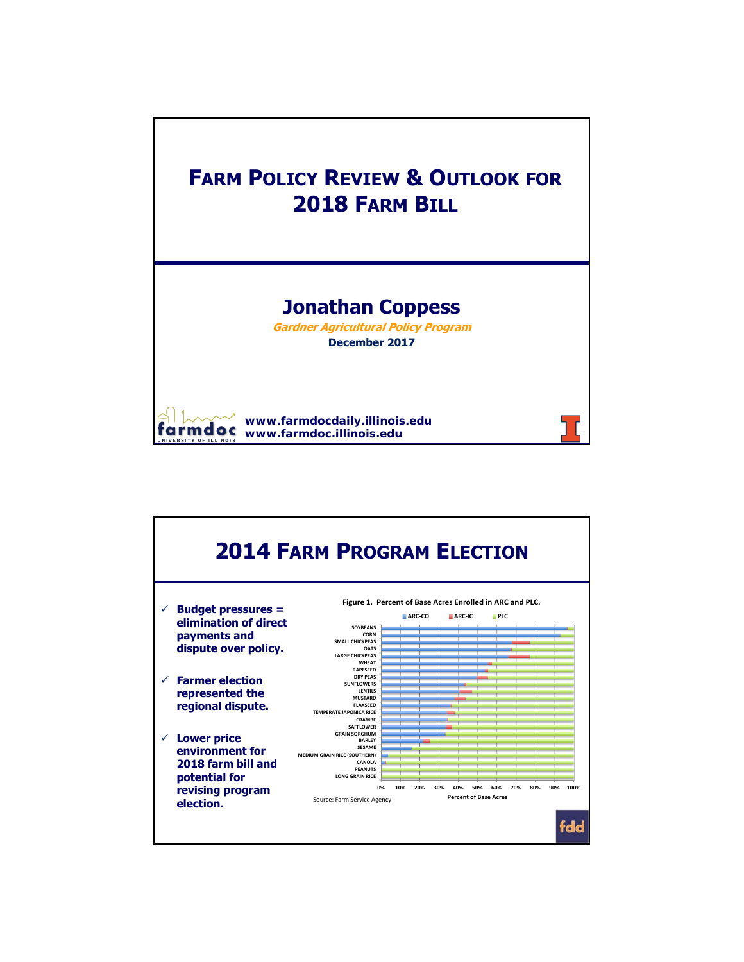

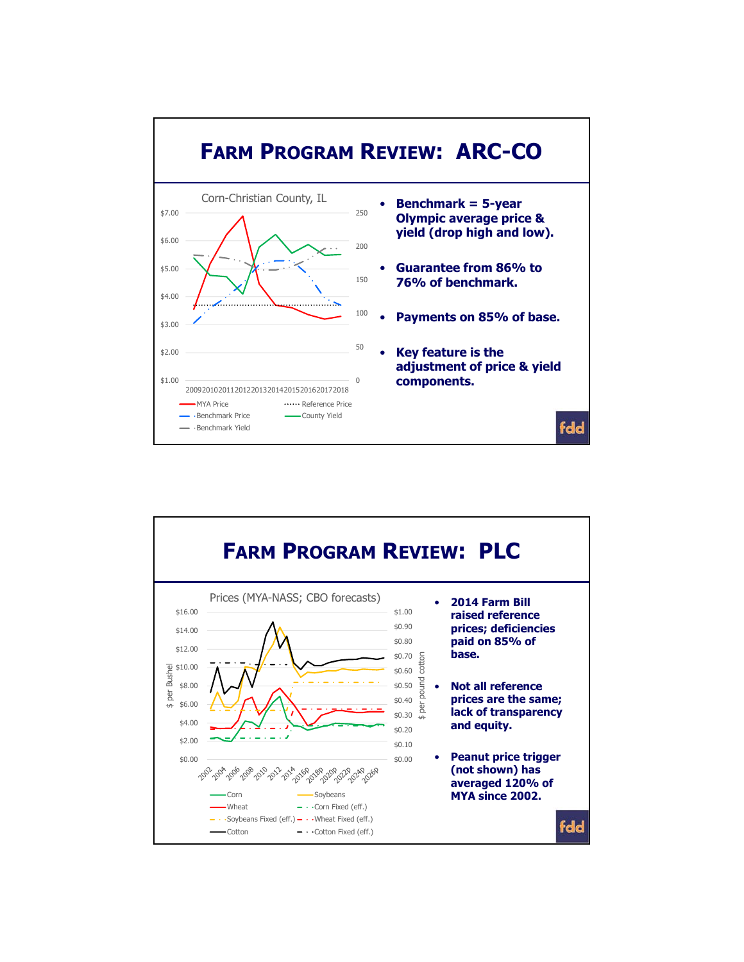

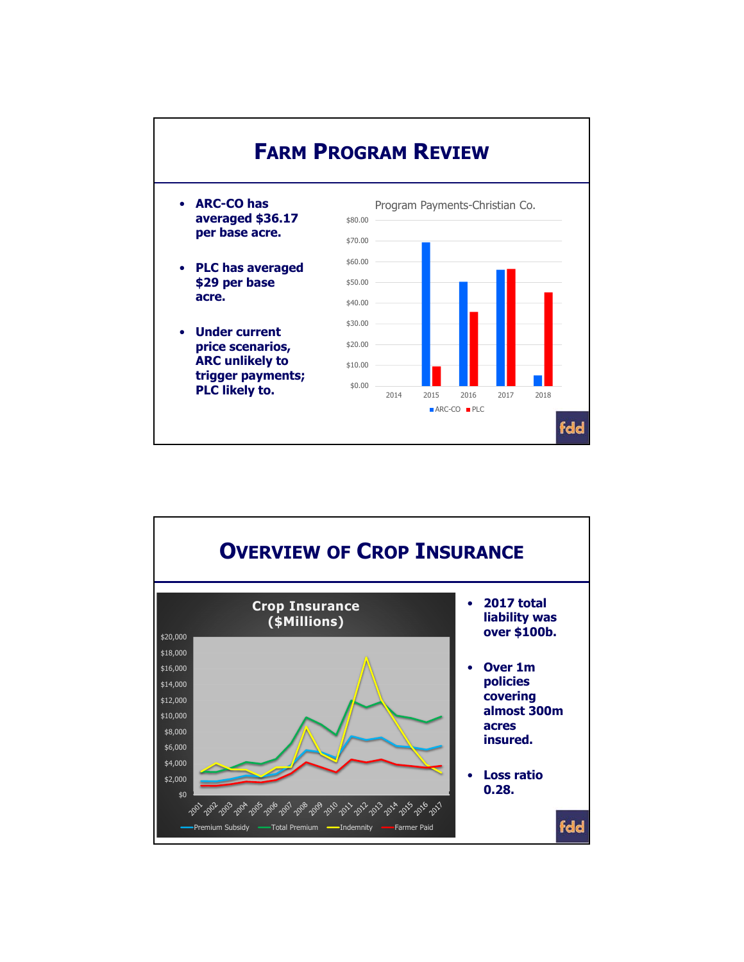

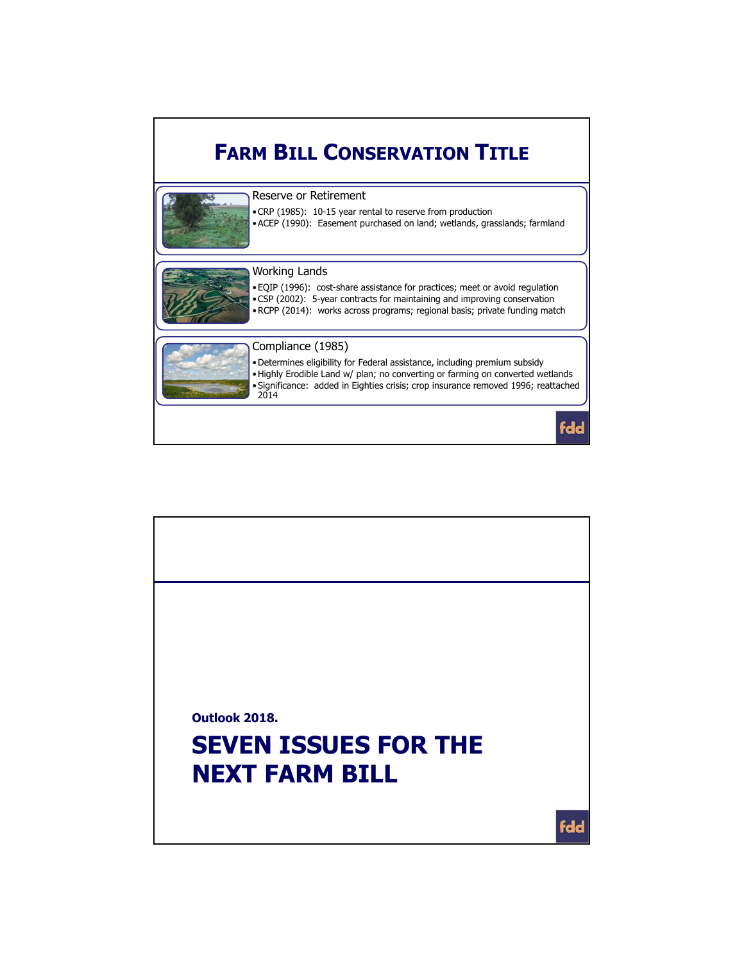## **FARM BILL CONSERVATION TITLE**



Reserve or Retirement

•CRP (1985): 10-15 year rental to reserve from production

•ACEP (1990): Easement purchased on land; wetlands, grasslands; farmland



## Working Lands

•EQIP (1996): cost-share assistance for practices; meet or avoid regulation •CSP (2002): 5-year contracts for maintaining and improving conservation •RCPP (2014): works across programs; regional basis; private funding match



## Compliance (1985)

•Determines eligibility for Federal assistance, including premium subsidy •Highly Erodible Land w/ plan; no converting or farming on converted wetlands •Significance: added in Eighties crisis; crop insurance removed 1996; reattached 2014

fdd

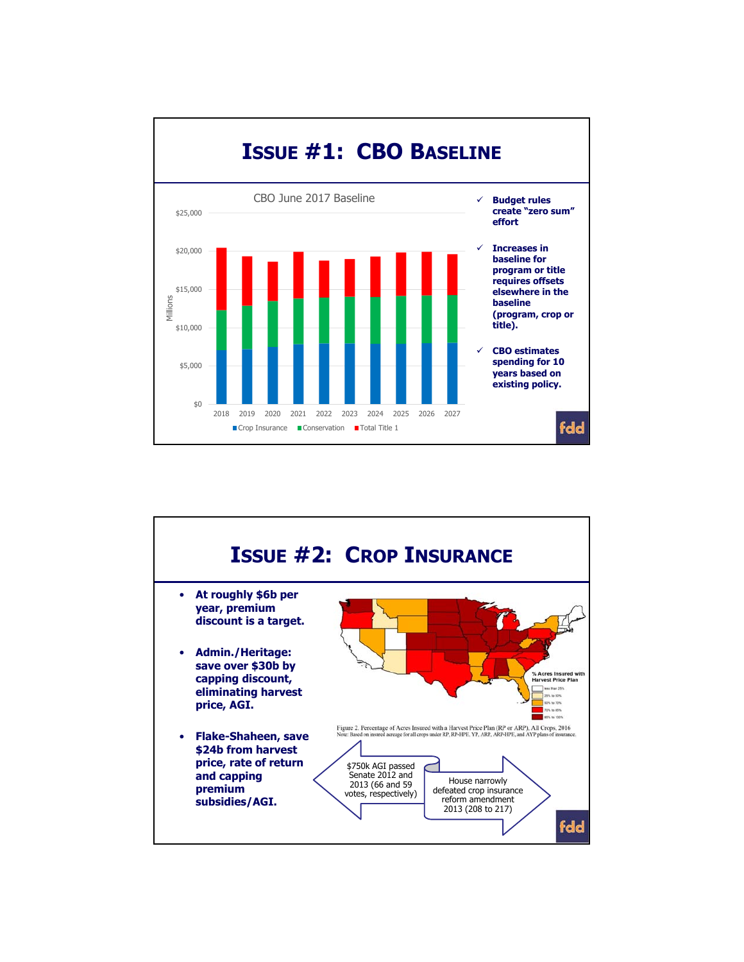

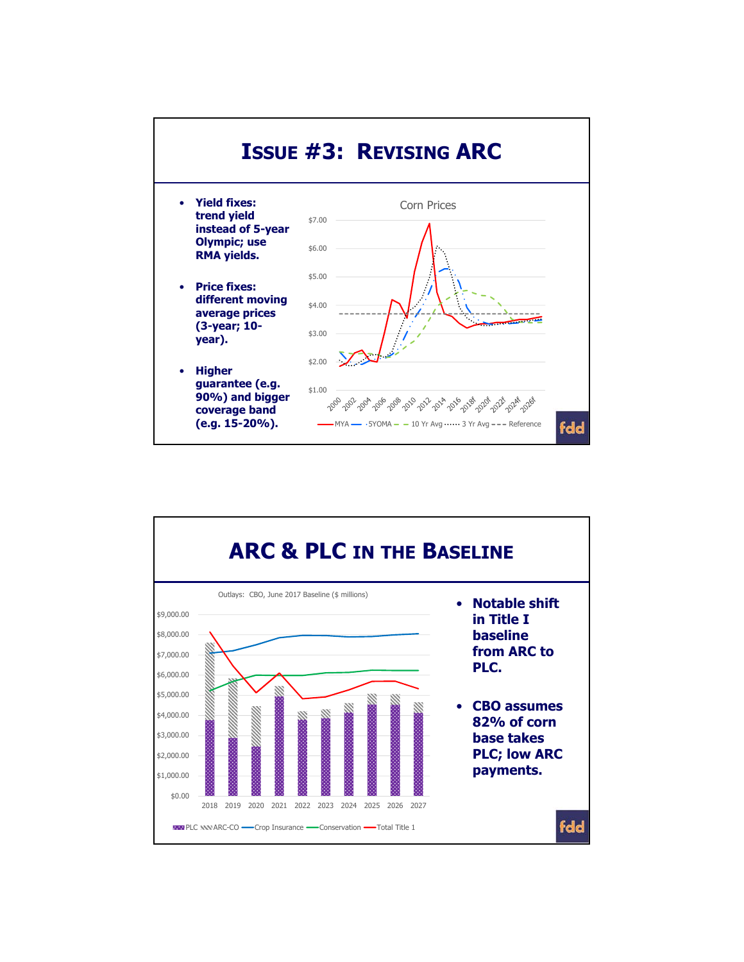

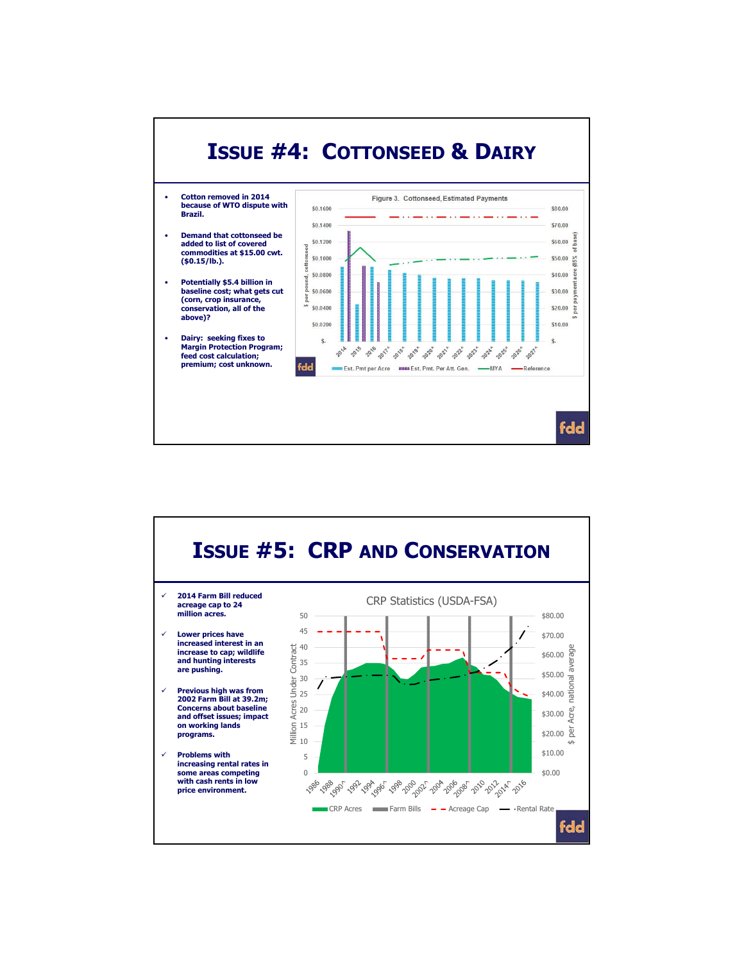

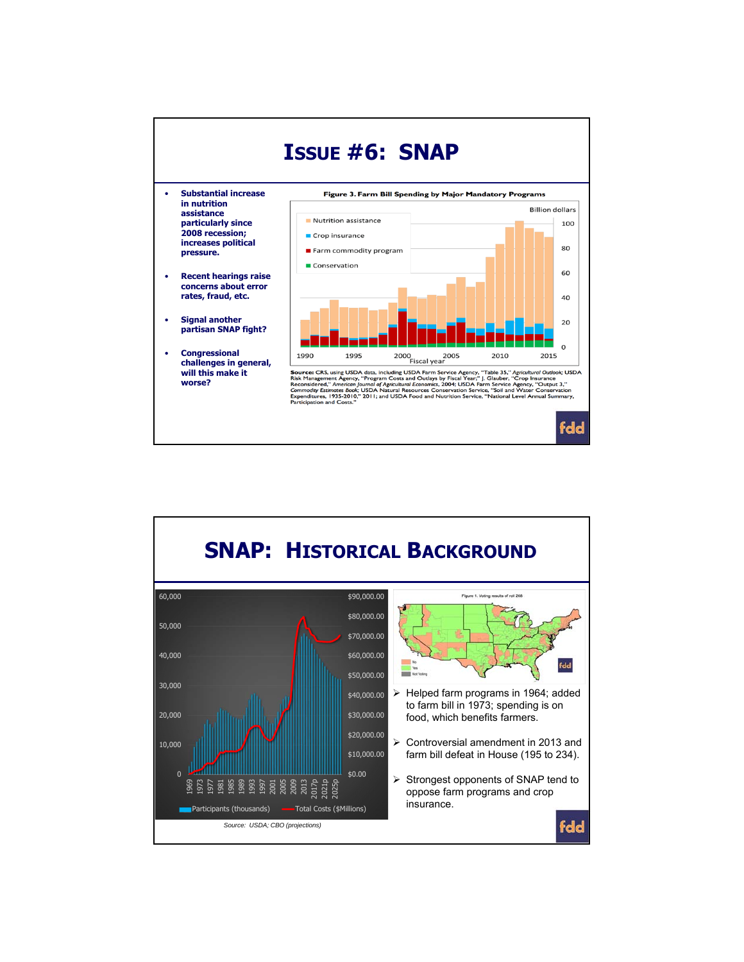